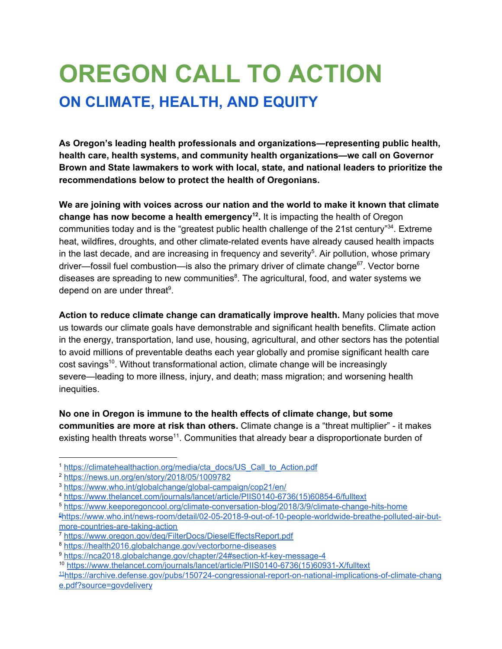# **OREGON CALL TO ACTION ON CLIMATE, HEALTH, AND EQUITY**

**As Oregon's leading health professionals and organizations—representing public health, health care, health systems, and community health organizations—we call on Governor Brown and State lawmakers to work with local, state, and national leaders to prioritize the recommendations below to protect the health of Oregonians.**

**We are joining with voices across our nation and the world to make it known that climate change has now become a health emergency .** It is impacting the health of Oregon **12** communities today and is the "greatest public health challenge of the 21st century"<sup>34</sup>. Extreme heat, wildfires, droughts, and other climate-related events have already caused health impacts in the last decade, and are increasing in frequency and severity<sup>5</sup>. Air pollution, whose primary driver—fossil fuel combustion—is also the primary driver of climate change $67$ . Vector borne diseases are spreading to new communities ${}^{8}$ . The agricultural, food, and water systems we depend on are under threat<sup>9</sup>.

**Action to reduce climate change can dramatically improve health.** Many policies that move us towards our climate goals have demonstrable and significant health benefits. Climate action in the energy, transportation, land use, housing, agricultural, and other sectors has the potential to avoid millions of preventable deaths each year globally and promise significant health care cost savings<sup>10</sup>. Without transformational action, climate change will be increasingly severe—leading to more illness, injury, and death; mass migration; and worsening health inequities.

**No one in Oregon is immune to the health effects of climate change, but some communities are more at risk than others.** Climate change is a "threat multiplier" - it makes existing health threats worse<sup>11</sup>. Communities that already bear a disproportionate burden of

<sup>1</sup> [https://climatehealthaction.org/media/cta\\_docs/US\\_Call\\_to\\_Action.pdf](https://climatehealthaction.org/media/cta_docs/US_Call_to_Action.pdf)

<sup>2</sup> <https://news.un.org/en/story/2018/05/1009782>

<sup>3</sup> <https://www.who.int/globalchange/global-campaign/cop21/en/>

<sup>4</sup> [https://www.thelancet.com/journals/lancet/article/PIIS0140-6736\(15\)60854-6/fulltext](https://www.thelancet.com/journals/lancet/article/PIIS0140-6736(15)60854-6/fulltext)

<sup>5</sup> <https://www.keeporegoncool.org/climate-conversation-blog/2018/3/9/climate-change-hits-home>

<sup>6</sup>[https://www.who.int/news-room/detail/02-05-2018-9-out-of-10-people-worldwide-breathe-polluted-air-but](https://www.who.int/news-room/detail/02-05-2018-9-out-of-10-people-worldwide-breathe-polluted-air-but-more-countries-are-taking-action)[more-countries-are-taking-action](https://www.who.int/news-room/detail/02-05-2018-9-out-of-10-people-worldwide-breathe-polluted-air-but-more-countries-are-taking-action)

<sup>7</sup> <https://www.oregon.gov/deq/FilterDocs/DieselEffectsReport.pdf>

<sup>8</sup> <https://health2016.globalchange.gov/vectorborne-diseases>

<sup>9</sup> <https://nca2018.globalchange.gov/chapter/24#section-kf-key-message-4>

<sup>10</sup> [https://www.thelancet.com/journals/lancet/article/PIIS0140-6736\(15\)60931-X/fulltext](https://www.thelancet.com/journals/lancet/article/PIIS0140-6736(15)60931-X/fulltext)

<sup>11</sup>[https://archive.defense.gov/pubs/150724-congressional-report-on-national-implications-of-climate-chang](https://archive.defense.gov/pubs/150724-congressional-report-on-national-implications-of-climate-change.pdf?source=govdelivery) [e.pdf?source=govdelivery](https://archive.defense.gov/pubs/150724-congressional-report-on-national-implications-of-climate-change.pdf?source=govdelivery)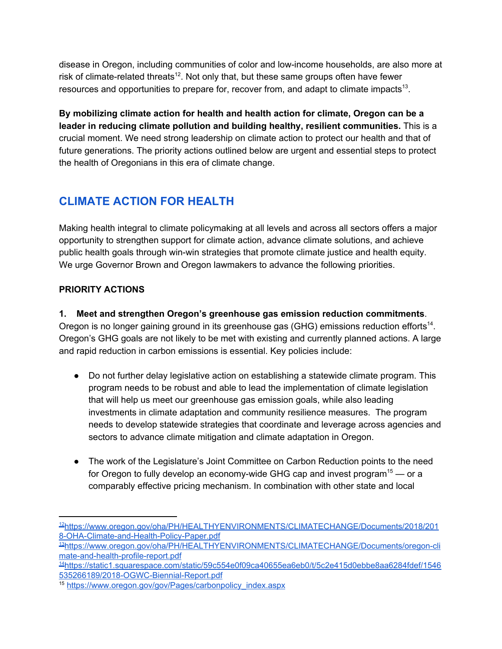disease in Oregon, including communities of color and low-income households, are also more at risk of climate-related threats<sup>12</sup>. Not only that, but these same groups often have fewer resources and opportunities to prepare for, recover from, and adapt to climate impacts<sup>13</sup>.

**By mobilizing climate action for health and health action for climate, Oregon can be a leader in reducing climate pollution and building healthy, resilient communities.** This is a crucial moment. We need strong leadership on climate action to protect our health and that of future generations. The priority actions outlined below are urgent and essential steps to protect the health of Oregonians in this era of climate change.

### **CLIMATE ACTION FOR HEALTH**

Making health integral to climate policymaking at all levels and across all sectors offers a major opportunity to strengthen support for climate action, advance climate solutions, and achieve public health goals through win-win strategies that promote climate justice and health equity. We urge Governor Brown and Oregon lawmakers to advance the following priorities.

#### **PRIORITY ACTIONS**

**1. Meet and strengthen Oregon's greenhouse gas emission reduction commitments**.

Oregon is no longer gaining ground in its greenhouse gas (GHG) emissions reduction efforts<sup>14</sup>. Oregon's GHG goals are not likely to be met with existing and currently planned actions. A large and rapid reduction in carbon emissions is essential. Key policies include:

- Do not further delay legislative action on establishing a statewide climate program. This program needs to be robust and able to lead the implementation of climate legislation that will help us meet our greenhouse gas emission goals, while also leading investments in climate adaptation and community resilience measures. The program needs to develop statewide strategies that coordinate and leverage across agencies and sectors to advance climate mitigation and climate adaptation in Oregon.
- The work of the Legislature's Joint Committee on Carbon Reduction points to the need for Oregon to fully develop an economy-wide GHG cap and invest program<sup>15</sup> — or a comparably effective pricing mechanism. In combination with other state and local

<sup>12</sup>[https://www.oregon.gov/oha/PH/HEALTHYENVIRONMENTS/CLIMATECHANGE/Documents/2018/201](https://www.oregon.gov/oha/PH/HEALTHYENVIRONMENTS/CLIMATECHANGE/Documents/2018/2018-OHA-Climate-and-Health-Policy-Paper.pdf) [8-OHA-Climate-and-Health-Policy-Paper.pdf](https://www.oregon.gov/oha/PH/HEALTHYENVIRONMENTS/CLIMATECHANGE/Documents/2018/2018-OHA-Climate-and-Health-Policy-Paper.pdf)

<sup>13</sup>[https://www.oregon.gov/oha/PH/HEALTHYENVIRONMENTS/CLIMATECHANGE/Documents/oregon-cli](https://www.oregon.gov/oha/PH/HEALTHYENVIRONMENTS/CLIMATECHANGE/Documents/oregon-climate-and-health-profile-report.pdf) [mate-and-health-profile-report.pdf](https://www.oregon.gov/oha/PH/HEALTHYENVIRONMENTS/CLIMATECHANGE/Documents/oregon-climate-and-health-profile-report.pdf)

<sup>14</sup>[https://static1.squarespace.com/static/59c554e0f09ca40655ea6eb0/t/5c2e415d0ebbe8aa6284fdef/1546](https://static1.squarespace.com/static/59c554e0f09ca40655ea6eb0/t/5c2e415d0ebbe8aa6284fdef/1546535266189/2018-OGWC-Biennial-Report.pdf) [535266189/2018-OGWC-Biennial-Report.pdf](https://static1.squarespace.com/static/59c554e0f09ca40655ea6eb0/t/5c2e415d0ebbe8aa6284fdef/1546535266189/2018-OGWC-Biennial-Report.pdf)

<sup>15</sup> [https://www.oregon.gov/gov/Pages/carbonpolicy\\_index.aspx](https://www.oregon.gov/gov/Pages/carbonpolicy_index.aspx)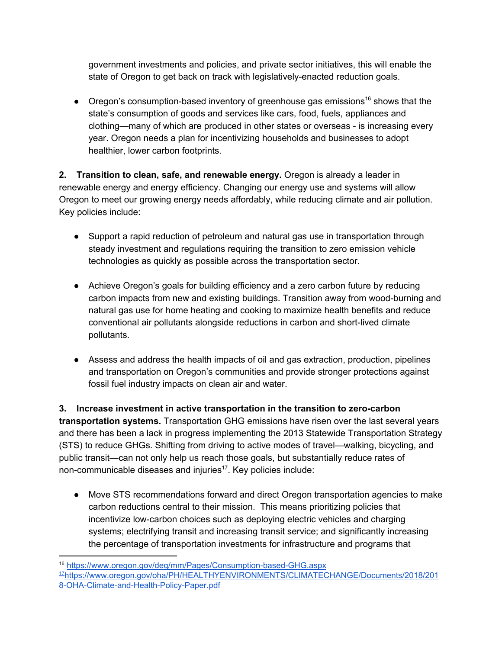government investments and policies, and private sector initiatives, this will enable the state of Oregon to get back on track with legislatively-enacted reduction goals.

• Oregon's consumption-based inventory of greenhouse gas emissions<sup>16</sup> shows that the state's consumption of goods and services like cars, food, fuels, appliances and clothing—many of which are produced in other states or overseas - is increasing every year. Oregon needs a plan for incentivizing households and businesses to adopt healthier, lower carbon footprints.

**2. Transition to clean, safe, and renewable energy.** Oregon is already a leader in renewable energy and energy efficiency. Changing our energy use and systems will allow Oregon to meet our growing energy needs affordably, while reducing climate and air pollution. Key policies include:

- Support a rapid reduction of petroleum and natural gas use in transportation through steady investment and regulations requiring the transition to zero emission vehicle technologies as quickly as possible across the transportation sector.
- Achieve Oregon's goals for building efficiency and a zero carbon future by reducing carbon impacts from new and existing buildings. Transition away from wood-burning and natural gas use for home heating and cooking to maximize health benefits and reduce conventional air pollutants alongside reductions in carbon and short-lived climate pollutants.
- Assess and address the health impacts of oil and gas extraction, production, pipelines and transportation on Oregon's communities and provide stronger protections against fossil fuel industry impacts on clean air and water.

**3. Increase investment in active transportation in the transition to zero-carbon transportation systems.** Transportation GHG emissions have risen over the last several years and there has been a lack in progress implementing the 2013 Statewide Transportation Strategy (STS) to reduce GHGs. Shifting from driving to active modes of travel—walking, bicycling, and public transit—can not only help us reach those goals, but substantially reduce rates of non-communicable diseases and injuries $17$ . Key policies include:

● Move STS recommendations forward and direct Oregon transportation agencies to make carbon reductions central to their mission. This means prioritizing policies that incentivize low-carbon choices such as deploying electric vehicles and charging systems; electrifying transit and increasing transit service; and significantly increasing the percentage of transportation investments for infrastructure and programs that

<sup>16</sup> <https://www.oregon.gov/deq/mm/Pages/Consumption-based-GHG.aspx> <sup>17</sup>[https://www.oregon.gov/oha/PH/HEALTHYENVIRONMENTS/CLIMATECHANGE/Documents/2018/201](https://www.oregon.gov/oha/PH/HEALTHYENVIRONMENTS/CLIMATECHANGE/Documents/2018/2018-OHA-Climate-and-Health-Policy-Paper.pdf) [8-OHA-Climate-and-Health-Policy-Paper.pdf](https://www.oregon.gov/oha/PH/HEALTHYENVIRONMENTS/CLIMATECHANGE/Documents/2018/2018-OHA-Climate-and-Health-Policy-Paper.pdf)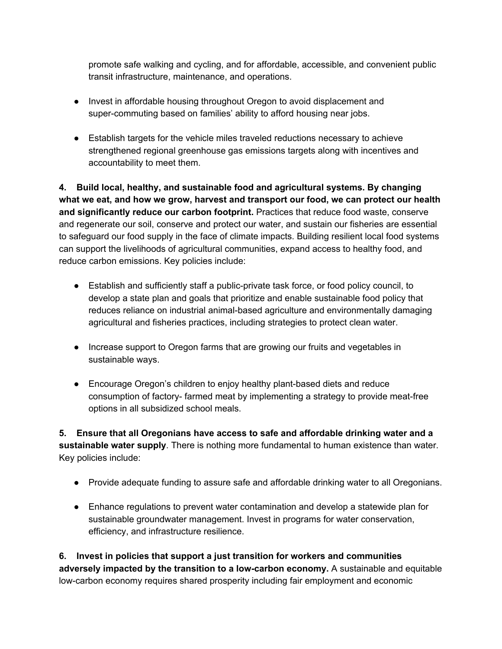promote safe walking and cycling, and for affordable, accessible, and convenient public transit infrastructure, maintenance, and operations.

- Invest in affordable housing throughout Oregon to avoid displacement and super-commuting based on families' ability to afford housing near jobs.
- Establish targets for the vehicle miles traveled reductions necessary to achieve strengthened regional greenhouse gas emissions targets along with incentives and accountability to meet them.

**4. Build local, healthy, and sustainable food and agricultural systems. By changing what we eat, and how we grow, harvest and transport our food, we can protect our health and significantly reduce our carbon footprint.** Practices that reduce food waste, conserve and regenerate our soil, conserve and protect our water, and sustain our fisheries are essential to safeguard our food supply in the face of climate impacts. Building resilient local food systems can support the livelihoods of agricultural communities, expand access to healthy food, and reduce carbon emissions. Key policies include:

- Establish and sufficiently staff a public-private task force, or food policy council, to develop a state plan and goals that prioritize and enable sustainable food policy that reduces reliance on industrial animal-based agriculture and environmentally damaging agricultural and fisheries practices, including strategies to protect clean water.
- Increase support to Oregon farms that are growing our fruits and vegetables in sustainable ways.
- Encourage Oregon's children to enjoy healthy plant-based diets and reduce consumption of factory- farmed meat by implementing a strategy to provide meat-free options in all subsidized school meals.

**5. Ensure that all Oregonians have access to safe and affordable drinking water and a sustainable water supply**. There is nothing more fundamental to human existence than water. Key policies include:

- Provide adequate funding to assure safe and affordable drinking water to all Oregonians.
- Enhance regulations to prevent water contamination and develop a statewide plan for sustainable groundwater management. Invest in programs for water conservation, efficiency, and infrastructure resilience.

**6. Invest in policies that support a just transition for workers and communities adversely impacted by the transition to a low-carbon economy.** A sustainable and equitable low-carbon economy requires shared prosperity including fair employment and economic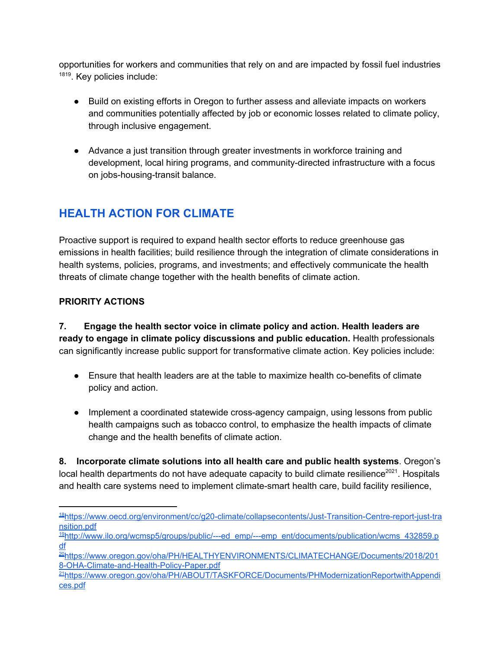opportunities for workers and communities that rely on and are impacted by fossil fuel industries 1819. Key policies include:

- Build on existing efforts in Oregon to further assess and alleviate impacts on workers and communities potentially affected by job or economic losses related to climate policy, through inclusive engagement.
- Advance a just transition through greater investments in workforce training and development, local hiring programs, and community-directed infrastructure with a focus on jobs-housing-transit balance.

## **HEALTH ACTION FOR CLIMATE**

Proactive support is required to expand health sector efforts to reduce greenhouse gas emissions in health facilities; build resilience through the integration of climate considerations in health systems, policies, programs, and investments; and effectively communicate the health threats of climate change together with the health benefits of climate action.

#### **PRIORITY ACTIONS**

**7. Engage the health sector voice in climate policy and action. Health leaders are ready to engage in climate policy discussions and public education.** Health professionals can significantly increase public support for transformative climate action. Key policies include:

- Ensure that health leaders are at the table to maximize health co-benefits of climate policy and action.
- Implement a coordinated statewide cross-agency campaign, using lessons from public health campaigns such as tobacco control, to emphasize the health impacts of climate change and the health benefits of climate action.

**8. Incorporate climate solutions into all health care and public health systems**. Oregon's local health departments do not have adequate capacity to build climate resilience<sup>2021</sup>. Hospitals and health care systems need to implement climate-smart health care, build facility resilience,

<sup>18</sup>[https://www.oecd.org/environment/cc/g20-climate/collapsecontents/Just-Transition-Centre-report-just-tra](https://www.oecd.org/environment/cc/g20-climate/collapsecontents/Just-Transition-Centre-report-just-transition.pdf) [nsition.pdf](https://www.oecd.org/environment/cc/g20-climate/collapsecontents/Just-Transition-Centre-report-just-transition.pdf)

 $19$ [http://www.ilo.org/wcmsp5/groups/public/---ed\\_emp/---emp\\_ent/documents/publication/wcms\\_432859.p](http://www.ilo.org/wcmsp5/groups/public/---ed_emp/---emp_ent/documents/publication/wcms_432859.pdf) [df](http://www.ilo.org/wcmsp5/groups/public/---ed_emp/---emp_ent/documents/publication/wcms_432859.pdf)

<sup>20</sup>[https://www.oregon.gov/oha/PH/HEALTHYENVIRONMENTS/CLIMATECHANGE/Documents/2018/201](https://www.oregon.gov/oha/PH/HEALTHYENVIRONMENTS/CLIMATECHANGE/Documents/2018/2018-OHA-Climate-and-Health-Policy-Paper.pdf) [8-OHA-Climate-and-Health-Policy-Paper.pdf](https://www.oregon.gov/oha/PH/HEALTHYENVIRONMENTS/CLIMATECHANGE/Documents/2018/2018-OHA-Climate-and-Health-Policy-Paper.pdf)

<sup>21</sup>[https://www.oregon.gov/oha/PH/ABOUT/TASKFORCE/Documents/PHModernizationReportwithAppendi](https://www.oregon.gov/oha/PH/ABOUT/TASKFORCE/Documents/PHModernizationReportwithAppendices.pdf) [ces.pdf](https://www.oregon.gov/oha/PH/ABOUT/TASKFORCE/Documents/PHModernizationReportwithAppendices.pdf)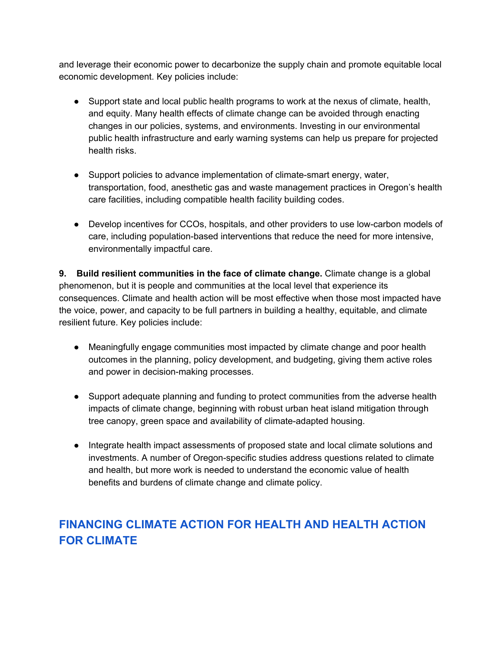and leverage their economic power to decarbonize the supply chain and promote equitable local economic development. Key policies include:

- Support state and local public health programs to work at the nexus of climate, health, and equity. Many health effects of climate change can be avoided through enacting changes in our policies, systems, and environments. Investing in our environmental public health infrastructure and early warning systems can help us prepare for projected health risks.
- Support policies to advance implementation of climate-smart energy, water, transportation, food, anesthetic gas and waste management practices in Oregon's health care facilities, including compatible health facility building codes.
- Develop incentives for CCOs, hospitals, and other providers to use low-carbon models of care, including population-based interventions that reduce the need for more intensive, environmentally impactful care.

**9. Build resilient communities in the face of climate change.** Climate change is a global phenomenon, but it is people and communities at the local level that experience its consequences. Climate and health action will be most effective when those most impacted have the voice, power, and capacity to be full partners in building a healthy, equitable, and climate resilient future. Key policies include:

- Meaningfully engage communities most impacted by climate change and poor health outcomes in the planning, policy development, and budgeting, giving them active roles and power in decision-making processes.
- Support adequate planning and funding to protect communities from the adverse health impacts of climate change, beginning with robust urban heat island mitigation through tree canopy, green space and availability of climate-adapted housing.
- Integrate health impact assessments of proposed state and local climate solutions and investments. A number of Oregon-specific studies address questions related to climate and health, but more work is needed to understand the economic value of health benefits and burdens of climate change and climate policy.

## **FINANCING CLIMATE ACTION FOR HEALTH AND HEALTH ACTION FOR CLIMATE**